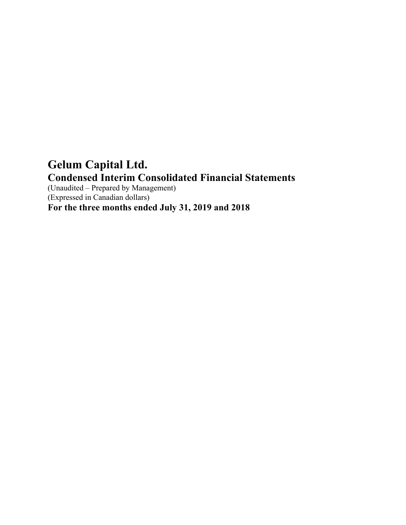# **Gelum Capital Ltd. Condensed Interim Consolidated Financial Statements**

(Unaudited – Prepared by Management) (Expressed in Canadian dollars)

**For the three months ended July 31, 2019 and 2018**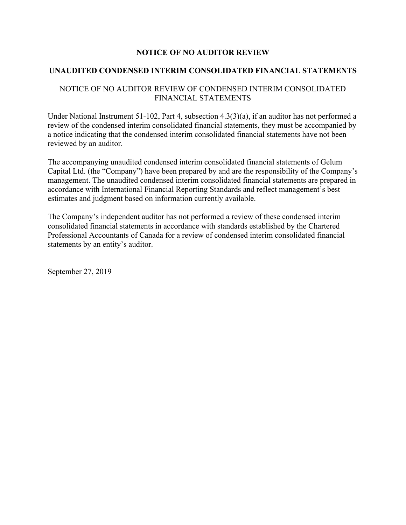# **NOTICE OF NO AUDITOR REVIEW**

# **UNAUDITED CONDENSED INTERIM CONSOLIDATED FINANCIAL STATEMENTS**

# NOTICE OF NO AUDITOR REVIEW OF CONDENSED INTERIM CONSOLIDATED FINANCIAL STATEMENTS

Under National Instrument 51-102, Part 4, subsection 4.3(3)(a), if an auditor has not performed a review of the condensed interim consolidated financial statements, they must be accompanied by a notice indicating that the condensed interim consolidated financial statements have not been reviewed by an auditor.

The accompanying unaudited condensed interim consolidated financial statements of Gelum Capital Ltd. (the "Company") have been prepared by and are the responsibility of the Company's management. The unaudited condensed interim consolidated financial statements are prepared in accordance with International Financial Reporting Standards and reflect management's best estimates and judgment based on information currently available.

The Company's independent auditor has not performed a review of these condensed interim consolidated financial statements in accordance with standards established by the Chartered Professional Accountants of Canada for a review of condensed interim consolidated financial statements by an entity's auditor.

September 27, 2019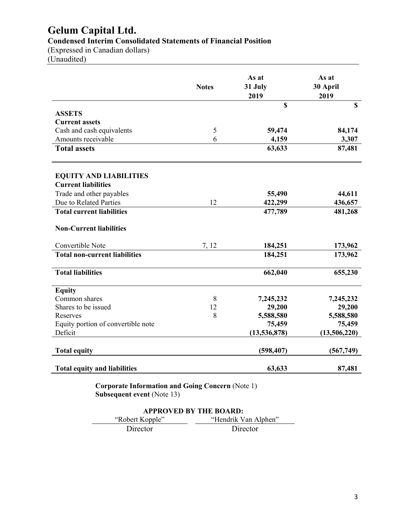# **Gelum Capital Ltd. Condensed Interim Consolidated Statements of Financial Position**

(Expressed in Canadian dollars)

(Unaudited)

|                                      | <b>Notes</b> | As at<br>31 July<br>2019 | As at<br>30 April<br>2019 |
|--------------------------------------|--------------|--------------------------|---------------------------|
|                                      |              | $\mathbf S$              | $\mathbf S$               |
| <b>ASSETS</b>                        |              |                          |                           |
| <b>Current assets</b>                |              |                          |                           |
| Cash and cash equivalents            | 5            | 59,474                   | 84,174                    |
| Amounts receivable                   | 6            | 4,159                    | 3,307                     |
| <b>Total assets</b>                  |              | 63,633                   | 87,481                    |
| <b>EQUITY AND LIABILITIES</b>        |              |                          |                           |
| <b>Current liabilities</b>           |              |                          |                           |
| Trade and other payables             |              | 55,490                   | 44,611                    |
| Due to Related Parties               | 12           | 422,299                  | 436,657                   |
| <b>Total current liabilities</b>     |              | 477,789                  | 481,268                   |
| <b>Non-Current liabilities</b>       |              |                          |                           |
| Convertible Note                     | 7, 12        | 184,251                  | 173,962                   |
| <b>Total non-current liabilities</b> |              | 184,251                  | 173,962                   |
| <b>Total liabilities</b>             |              | 662,040                  | 655,230                   |
| <b>Equity</b>                        |              |                          |                           |
| Common shares                        | 8            | 7,245,232                | 7,245,232                 |
| Shares to be issued                  | 12           | 29,200                   | 29,200                    |
| Reserves                             | 8            | 5,588,580                | 5,588,580                 |
| Equity portion of convertible note   |              | 75,459                   | 75,459                    |
| Deficit                              |              | (13, 536, 878)           | (13,506,220)              |
| <b>Total equity</b>                  |              | (598, 407)               | (567,749)                 |
| <b>Total equity and liabilities</b>  |              | 63,633                   | 87,481                    |

**Corporate Information and Going Concern** (Note 1) **Subsequent event** (Note 13)

| <b>APPROVED BY THE BOARD:</b>           |          |  |  |  |
|-----------------------------------------|----------|--|--|--|
| "Hendrik Van Alphen"<br>"Robert Kopple" |          |  |  |  |
| Director                                | Director |  |  |  |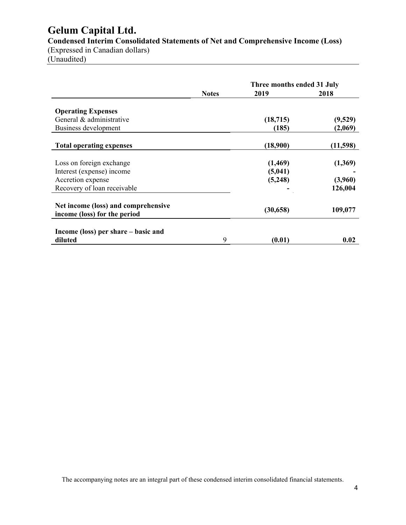# **Gelum Capital Ltd.**

**Condensed Interim Consolidated Statements of Net and Comprehensive Income (Loss)** 

(Expressed in Canadian dollars) (Unaudited)

|                                                                     |              | Three months ended 31 July |          |
|---------------------------------------------------------------------|--------------|----------------------------|----------|
|                                                                     | <b>Notes</b> | 2019                       | 2018     |
| <b>Operating Expenses</b>                                           |              |                            |          |
| General & administrative                                            |              | (18, 715)                  | (9,529)  |
| Business development                                                |              | (185)                      | (2,069)  |
| <b>Total operating expenses</b>                                     |              | (18,900)                   | (11,598) |
| Loss on foreign exchange                                            |              | (1,469)                    | (1,369)  |
| Interest (expense) income                                           |              | (5,041)                    |          |
| Accretion expense                                                   |              | (5,248)                    | (3,960)  |
| Recovery of loan receivable                                         |              |                            | 126,004  |
| Net income (loss) and comprehensive<br>income (loss) for the period |              | (30, 658)                  | 109,077  |
| Income (loss) per share – basic and<br>diluted                      | 9            | (0.01)                     | 0.02     |

The accompanying notes are an integral part of these condensed interim consolidated financial statements.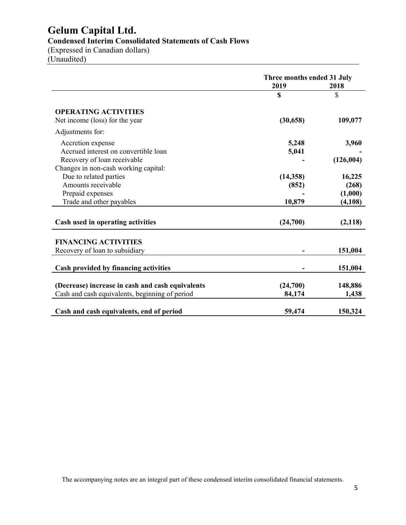# **Gelum Capital Ltd.**

**Condensed Interim Consolidated Statements of Cash Flows** 

(Expressed in Canadian dollars) (Unaudited)

|                                                  | Three months ended 31 July<br>2019 | 2018      |
|--------------------------------------------------|------------------------------------|-----------|
|                                                  | \$                                 | \$        |
| <b>OPERATING ACTIVITIES</b>                      |                                    |           |
| Net income (loss) for the year                   | (30, 658)                          | 109,077   |
| Adjustments for:                                 |                                    |           |
| Accretion expense                                | 5,248                              | 3,960     |
| Accrued interest on convertible loan             | 5,041                              |           |
| Recovery of loan receivable                      |                                    | (126,004) |
| Changes in non-cash working capital:             |                                    |           |
| Due to related parties                           | (14, 358)                          | 16,225    |
| Amounts receivable                               | (852)                              | (268)     |
| Prepaid expenses                                 |                                    | (1,000)   |
| Trade and other payables                         | 10,879                             | (4,108)   |
| Cash used in operating activities                | (24,700)                           | (2,118)   |
| <b>FINANCING ACTIVITIES</b>                      |                                    |           |
| Recovery of loan to subsidiary                   |                                    | 151,004   |
| Cash provided by financing activities            |                                    | 151,004   |
| (Decrease) increase in cash and cash equivalents | (24,700)                           | 148,886   |
| Cash and cash equivalents, beginning of period   | 84,174                             | 1,438     |
| Cash and cash equivalents, end of period         | 59,474                             | 150,324   |

The accompanying notes are an integral part of these condensed interim consolidated financial statements.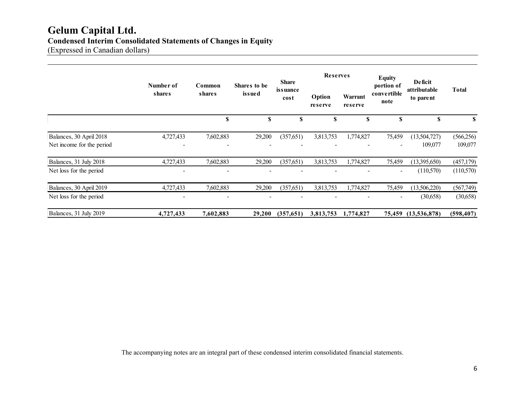# **Gelum Capital Ltd. Condensed Interim Consolidated Statements of Changes in Equity**

(Expressed in Canadian dollars)

|                                                      |                     |                  | <b>Share</b>           |                  | <b>Reserves</b>   |                    | <b>Equity</b>                     | Deficit                   |                       |
|------------------------------------------------------|---------------------|------------------|------------------------|------------------|-------------------|--------------------|-----------------------------------|---------------------------|-----------------------|
|                                                      | Number of<br>shares | Common<br>shares | Shares to be<br>issued | issuance<br>cost | Option<br>reserve | Warrant<br>reserve | portion of<br>convertible<br>note | attributable<br>to parent | <b>Total</b>          |
|                                                      |                     | \$               | \$                     | S                | S                 | S                  | S                                 | \$                        | S                     |
| Balances, 30 April 2018<br>Net income for the period | 4,727,433           | 7,602,883        | 29,200                 | (357,651)        | 3,813,753         | 1,774,827          | 75,459<br>-                       | (13,504,727)<br>109,077   | (566, 256)<br>109,077 |
| Balances, 31 July 2018                               | 4,727,433           | 7,602,883        | 29,200                 | (357,651)        | 3,813,753         | 1,774,827          | 75,459                            | (13,395,650)              | (457, 179)            |
| Net loss for the period                              |                     |                  |                        |                  |                   |                    | ۰                                 | (110,570)                 | (110,570)             |
| Balances, 30 April 2019                              | 4,727,433           | 7,602,883        | 29,200                 | (357, 651)       | 3,813,753         | 1,774,827          | 75,459                            | (13,506,220)              | (567,749)             |
| Net loss for the period                              |                     |                  |                        |                  |                   |                    | -                                 | (30,658)                  | (30,658)              |
| Balances, 31 July 2019                               | 4,727,433           | 7,602,883        | 29,200                 | (357,651)        | 3,813,753         | 1,774,827          | 75,459                            | (13,536,878)              | (598, 407)            |

The accompanying notes are an integral part of these condensed interim consolidated financial statements.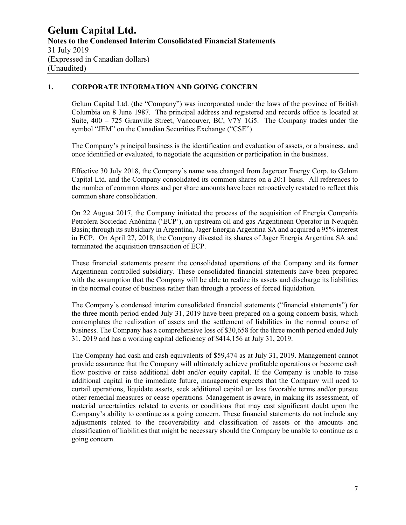# **1. CORPORATE INFORMATION AND GOING CONCERN**

Gelum Capital Ltd. (the "Company") was incorporated under the laws of the province of British Columbia on 8 June 1987. The principal address and registered and records office is located at Suite, 400 – 725 Granville Street, Vancouver, BC, V7Y 1G5. The Company trades under the symbol "JEM" on the Canadian Securities Exchange ("CSE")

The Company's principal business is the identification and evaluation of assets, or a business, and once identified or evaluated, to negotiate the acquisition or participation in the business.

Effective 30 July 2018, the Company's name was changed from Jagercor Energy Corp. to Gelum Capital Ltd. and the Company consolidated its common shares on a 20:1 basis. All references to the number of common shares and per share amounts have been retroactively restated to reflect this common share consolidation.

On 22 August 2017, the Company initiated the process of the acquisition of Energia Compañía Petrolera Sociedad Anónima ('ECP'), an upstream oil and gas Argentinean Operator in Neuquén Basin; through its subsidiary in Argentina, Jager Energia Argentina SA and acquired a 95% interest in ECP. On April 27, 2018, the Company divested its shares of Jager Energia Argentina SA and terminated the acquisition transaction of ECP.

These financial statements present the consolidated operations of the Company and its former Argentinean controlled subsidiary. These consolidated financial statements have been prepared with the assumption that the Company will be able to realize its assets and discharge its liabilities in the normal course of business rather than through a process of forced liquidation.

The Company's condensed interim consolidated financial statements ("financial statements") for the three month period ended July 31, 2019 have been prepared on a going concern basis, which contemplates the realization of assets and the settlement of liabilities in the normal course of business. The Company has a comprehensive loss of \$30,658 for the three month period ended July 31, 2019 and has a working capital deficiency of \$414,156 at July 31, 2019.

The Company had cash and cash equivalents of \$59,474 as at July 31, 2019. Management cannot provide assurance that the Company will ultimately achieve profitable operations or become cash flow positive or raise additional debt and/or equity capital. If the Company is unable to raise additional capital in the immediate future, management expects that the Company will need to curtail operations, liquidate assets, seek additional capital on less favorable terms and/or pursue other remedial measures or cease operations. Management is aware, in making its assessment, of material uncertainties related to events or conditions that may cast significant doubt upon the Company's ability to continue as a going concern. These financial statements do not include any adjustments related to the recoverability and classification of assets or the amounts and classification of liabilities that might be necessary should the Company be unable to continue as a going concern.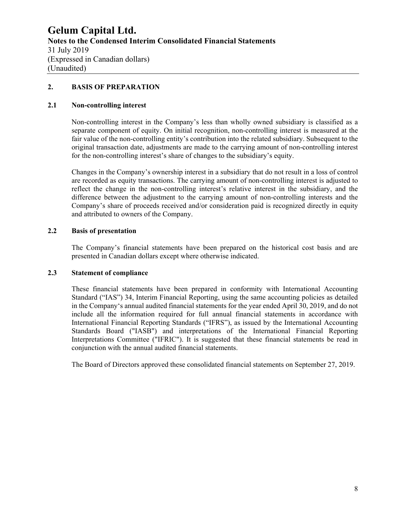#### **2. BASIS OF PREPARATION**

#### **2.1 Non-controlling interest**

Non-controlling interest in the Company's less than wholly owned subsidiary is classified as a separate component of equity. On initial recognition, non-controlling interest is measured at the fair value of the non-controlling entity's contribution into the related subsidiary. Subsequent to the original transaction date, adjustments are made to the carrying amount of non-controlling interest for the non-controlling interest's share of changes to the subsidiary's equity.

Changes in the Company's ownership interest in a subsidiary that do not result in a loss of control are recorded as equity transactions. The carrying amount of non-controlling interest is adjusted to reflect the change in the non-controlling interest's relative interest in the subsidiary, and the difference between the adjustment to the carrying amount of non-controlling interests and the Company's share of proceeds received and/or consideration paid is recognized directly in equity and attributed to owners of the Company.

# **2.2 Basis of presentation**

The Company's financial statements have been prepared on the historical cost basis and are presented in Canadian dollars except where otherwise indicated.

#### **2.3 Statement of compliance**

These financial statements have been prepared in conformity with International Accounting Standard ("IAS") 34, Interim Financial Reporting, using the same accounting policies as detailed in the Company's annual audited financial statements for the year ended April 30, 2019, and do not include all the information required for full annual financial statements in accordance with International Financial Reporting Standards ("IFRS"), as issued by the International Accounting Standards Board ("IASB") and interpretations of the International Financial Reporting Interpretations Committee ("IFRIC"). It is suggested that these financial statements be read in conjunction with the annual audited financial statements.

The Board of Directors approved these consolidated financial statements on September 27, 2019.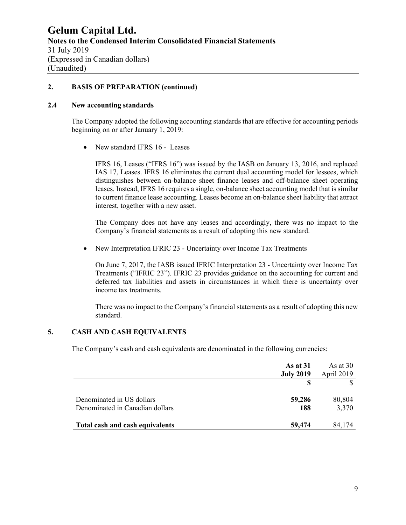#### **2. BASIS OF PREPARATION (continued)**

#### **2.4 New accounting standards**

The Company adopted the following accounting standards that are effective for accounting periods beginning on or after January 1, 2019:

• New standard IFRS 16 - Leases

IFRS 16, Leases ("IFRS 16") was issued by the IASB on January 13, 2016, and replaced IAS 17, Leases. IFRS 16 eliminates the current dual accounting model for lessees, which distinguishes between on-balance sheet finance leases and off-balance sheet operating leases. Instead, IFRS 16 requires a single, on-balance sheet accounting model that is similar to current finance lease accounting. Leases become an on-balance sheet liability that attract interest, together with a new asset.

The Company does not have any leases and accordingly, there was no impact to the Company's financial statements as a result of adopting this new standard.

• New Interpretation IFRIC 23 - Uncertainty over Income Tax Treatments

On June 7, 2017, the IASB issued IFRIC Interpretation 23 - Uncertainty over Income Tax Treatments ("IFRIC 23"). IFRIC 23 provides guidance on the accounting for current and deferred tax liabilities and assets in circumstances in which there is uncertainty over income tax treatments.

There was no impact to the Company's financial statements as a result of adopting this new standard.

# **5. CASH AND CASH EQUIVALENTS**

The Company's cash and cash equivalents are denominated in the following currencies:

|                                                              | As at $31$<br><b>July 2019</b> | As at $30$<br>April 2019 |
|--------------------------------------------------------------|--------------------------------|--------------------------|
|                                                              |                                |                          |
| Denominated in US dollars<br>Denominated in Canadian dollars | 59,286                         | 80,804<br>3,370          |
|                                                              | 188                            |                          |
| Total cash and cash equivalents                              | 59,474                         | 84.174                   |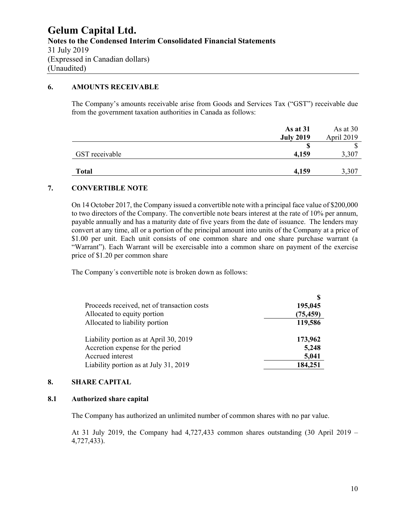# **6. AMOUNTS RECEIVABLE**

The Company's amounts receivable arise from Goods and Services Tax ("GST") receivable due from the government taxation authorities in Canada as follows:

|                | As at 31         | As at $30$ |
|----------------|------------------|------------|
|                | <b>July 2019</b> | April 2019 |
|                |                  | D          |
| GST receivable | 4,159            | 3,307      |
| <b>Total</b>   | 4,159            | 3,307      |

#### **7. CONVERTIBLE NOTE**

On 14 October 2017, the Company issued a convertible note with a principal face value of \$200,000 to two directors of the Company. The convertible note bears interest at the rate of 10% per annum, payable annually and has a maturity date of five years from the date of issuance. The lenders may convert at any time, all or a portion of the principal amount into units of the Company at a price of \$1.00 per unit. Each unit consists of one common share and one share purchase warrant (a "Warrant"). Each Warrant will be exercisable into a common share on payment of the exercise price of \$1.20 per common share

The Company´s convertible note is broken down as follows:

|                                             | S         |
|---------------------------------------------|-----------|
| Proceeds received, net of transaction costs | 195,045   |
| Allocated to equity portion                 | (75, 459) |
| Allocated to liability portion              | 119,586   |
| Liability portion as at April 30, 2019      | 173,962   |
| Accretion expense for the period            | 5,248     |
| Accrued interest                            | 5,041     |
| Liability portion as at July 31, 2019       | 184,251   |

#### **8. SHARE CAPITAL**

#### **8.1 Authorized share capital**

The Company has authorized an unlimited number of common shares with no par value.

At 31 July 2019, the Company had  $4,727,433$  common shares outstanding  $(30 \text{ April } 2019 -$ 4,727,433).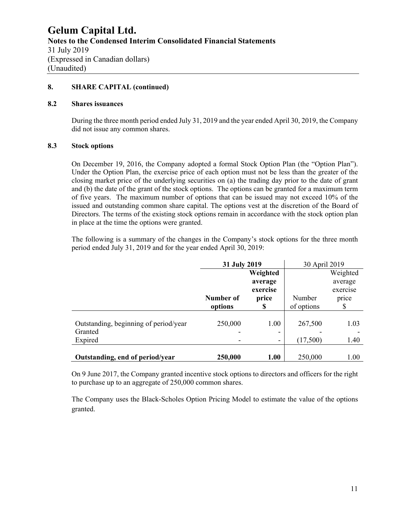#### **8. SHARE CAPITAL (continued)**

#### **8.2 Shares issuances**

During the three month period ended July 31, 2019 and the year ended April 30, 2019, the Company did not issue any common shares.

#### **8.3 Stock options**

On December 19, 2016, the Company adopted a formal Stock Option Plan (the "Option Plan"). Under the Option Plan, the exercise price of each option must not be less than the greater of the closing market price of the underlying securities on (a) the trading day prior to the date of grant and (b) the date of the grant of the stock options. The options can be granted for a maximum term of five years. The maximum number of options that can be issued may not exceed 10% of the issued and outstanding common share capital. The options vest at the discretion of the Board of Directors. The terms of the existing stock options remain in accordance with the stock option plan in place at the time the options were granted.

The following is a summary of the changes in the Company's stock options for the three month period ended July 31, 2019 and for the year ended April 30, 2019:

|                                       | 31 July 2019 |          | 30 April 2019 |          |
|---------------------------------------|--------------|----------|---------------|----------|
|                                       |              | Weighted |               | Weighted |
|                                       |              | average  |               | average  |
|                                       |              | exercise |               | exercise |
|                                       | Number of    | price    | Number        | price    |
|                                       | options      | \$       | of options    | \$       |
| Outstanding, beginning of period/year | 250,000      | 1.00     | 267,500       | 1.03     |
| Granted                               |              |          |               |          |
| Expired                               |              |          | (17,500)      | 1.40     |
|                                       |              |          |               |          |
| Outstanding, end of period/year       | 250,000      | 1.00     | 250,000       | 1.00     |

On 9 June 2017, the Company granted incentive stock options to directors and officers for the right to purchase up to an aggregate of 250,000 common shares.

The Company uses the Black-Scholes Option Pricing Model to estimate the value of the options granted.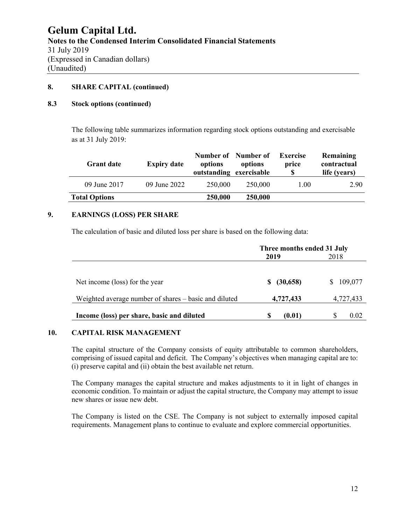#### **8. SHARE CAPITAL (continued)**

#### **8.3 Stock options (continued)**

The following table summarizes information regarding stock options outstanding and exercisable as at 31 July 2019:

| <b>Grant date</b>    | <b>Expiry date</b> | Number of Number of<br>options<br>outstanding exercisable | options | <b>Exercise</b><br>price<br>S | Remaining<br>contractual<br>life (years) |
|----------------------|--------------------|-----------------------------------------------------------|---------|-------------------------------|------------------------------------------|
| 09 June 2017         | 09 June 2022       | 250,000                                                   | 250,000 | 1.00                          | 2.90                                     |
| <b>Total Options</b> |                    | 250,000                                                   | 250,000 |                               |                                          |

# **9. EARNINGS (LOSS) PER SHARE**

The calculation of basic and diluted loss per share is based on the following data:

|                                                       | Three months ended 31 July |           |  |  |
|-------------------------------------------------------|----------------------------|-----------|--|--|
|                                                       | 2019                       | 2018      |  |  |
|                                                       |                            |           |  |  |
| Net income (loss) for the year                        | (30,658)<br>S              | 109,077   |  |  |
| Weighted average number of shares - basic and diluted | 4,727,433                  | 4,727,433 |  |  |
| Income (loss) per share, basic and diluted            | S<br>(0.01)                | 0.02      |  |  |

#### **10. CAPITAL RISK MANAGEMENT**

The capital structure of the Company consists of equity attributable to common shareholders, comprising of issued capital and deficit. The Company's objectives when managing capital are to: (i) preserve capital and (ii) obtain the best available net return.

The Company manages the capital structure and makes adjustments to it in light of changes in economic condition. To maintain or adjust the capital structure, the Company may attempt to issue new shares or issue new debt.

The Company is listed on the CSE. The Company is not subject to externally imposed capital requirements. Management plans to continue to evaluate and explore commercial opportunities.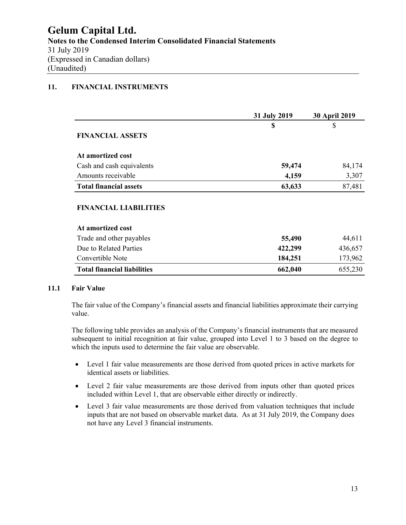# **11. FINANCIAL INSTRUMENTS**

|                                    | 31 July 2019 | <b>30 April 2019</b> |  |
|------------------------------------|--------------|----------------------|--|
|                                    | \$           | \$                   |  |
| <b>FINANCIAL ASSETS</b>            |              |                      |  |
| At amortized cost                  |              |                      |  |
| Cash and cash equivalents          | 59,474       | 84,174               |  |
| Amounts receivable                 | 4,159        | 3,307                |  |
| <b>Total financial assets</b>      | 63,633       | 87,481               |  |
| <b>FINANCIAL LIABILITIES</b>       |              |                      |  |
| At amortized cost                  |              |                      |  |
| Trade and other payables           | 55,490       | 44,611               |  |
| Due to Related Parties             | 422,299      | 436,657              |  |
| Convertible Note                   | 184,251      | 173,962              |  |
| <b>Total financial liabilities</b> | 662,040      | 655,230              |  |

# **11.1 Fair Value**

The fair value of the Company's financial assets and financial liabilities approximate their carrying value.

The following table provides an analysis of the Company's financial instruments that are measured subsequent to initial recognition at fair value, grouped into Level 1 to 3 based on the degree to which the inputs used to determine the fair value are observable.

- Level 1 fair value measurements are those derived from quoted prices in active markets for identical assets or liabilities.
- Level 2 fair value measurements are those derived from inputs other than quoted prices included within Level 1, that are observable either directly or indirectly.
- Level 3 fair value measurements are those derived from valuation techniques that include inputs that are not based on observable market data. As at 31 July 2019, the Company does not have any Level 3 financial instruments.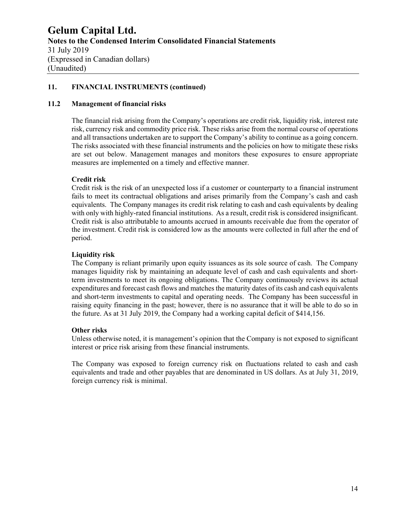# **11. FINANCIAL INSTRUMENTS (continued)**

#### **11.2 Management of financial risks**

The financial risk arising from the Company's operations are credit risk, liquidity risk, interest rate risk, currency risk and commodity price risk. These risks arise from the normal course of operations and all transactions undertaken are to support the Company's ability to continue as a going concern. The risks associated with these financial instruments and the policies on how to mitigate these risks are set out below. Management manages and monitors these exposures to ensure appropriate measures are implemented on a timely and effective manner.

#### **Credit risk**

Credit risk is the risk of an unexpected loss if a customer or counterparty to a financial instrument fails to meet its contractual obligations and arises primarily from the Company's cash and cash equivalents. The Company manages its credit risk relating to cash and cash equivalents by dealing with only with highly-rated financial institutions. As a result, credit risk is considered insignificant. Credit risk is also attributable to amounts accrued in amounts receivable due from the operator of the investment. Credit risk is considered low as the amounts were collected in full after the end of period.

#### **Liquidity risk**

The Company is reliant primarily upon equity issuances as its sole source of cash. The Company manages liquidity risk by maintaining an adequate level of cash and cash equivalents and shortterm investments to meet its ongoing obligations. The Company continuously reviews its actual expenditures and forecast cash flows and matches the maturity dates of its cash and cash equivalents and short-term investments to capital and operating needs. The Company has been successful in raising equity financing in the past; however, there is no assurance that it will be able to do so in the future. As at 31 July 2019, the Company had a working capital deficit of \$414,156.

#### **Other risks**

Unless otherwise noted, it is management's opinion that the Company is not exposed to significant interest or price risk arising from these financial instruments.

The Company was exposed to foreign currency risk on fluctuations related to cash and cash equivalents and trade and other payables that are denominated in US dollars. As at July 31, 2019, foreign currency risk is minimal.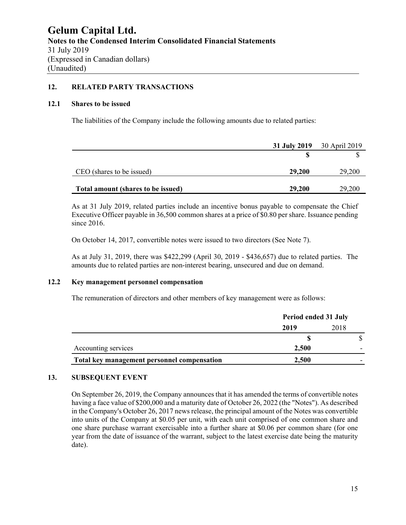# **12. RELATED PARTY TRANSACTIONS**

#### **12.1 Shares to be issued**

The liabilities of the Company include the following amounts due to related parties:

|                                    |        | 31 July 2019 30 April 2019 |
|------------------------------------|--------|----------------------------|
|                                    |        |                            |
| CEO (shares to be issued)          | 29,200 | 29,200                     |
| Total amount (shares to be issued) | 29,200 | 29,200                     |

As at 31 July 2019, related parties include an incentive bonus payable to compensate the Chief Executive Officer payable in 36,500 common shares at a price of \$0.80 per share. Issuance pending since 2016.

On October 14, 2017, convertible notes were issued to two directors (See Note 7).

As at July 31, 2019, there was \$422,299 (April 30, 2019 - \$436,657) due to related parties. The amounts due to related parties are non-interest bearing, unsecured and due on demand.

# **12.2 Key management personnel compensation**

The remuneration of directors and other members of key management were as follows:

|                                             | Period ended 31 July |      |
|---------------------------------------------|----------------------|------|
|                                             | 2019                 | 2018 |
|                                             |                      |      |
| Accounting services                         | 2.500                |      |
| Total key management personnel compensation | 2,500                |      |

# **13. SUBSEQUENT EVENT**

On September 26, 2019, the Company announces that it has amended the terms of convertible notes having a face value of \$200,000 and a maturity date of October 26, 2022 (the "Notes"). As described in the Company's October 26, 2017 news release, the principal amount of the Notes was convertible into units of the Company at \$0.05 per unit, with each unit comprised of one common share and one share purchase warrant exercisable into a further share at \$0.06 per common share (for one year from the date of issuance of the warrant, subject to the latest exercise date being the maturity date).